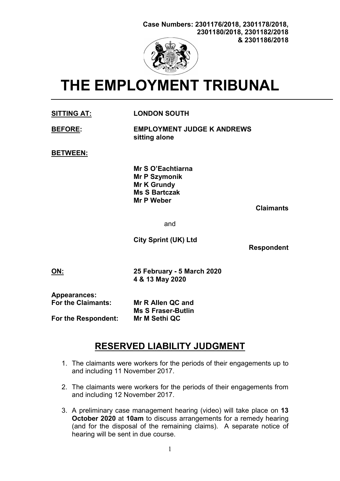

# THE EMPLOYMENT TRIBUNAL

SITTING AT: LONDON SOUTH

| <b>BEFORE:</b> | <b>EMPLOYMENT JUDGE K ANDREWS</b> |
|----------------|-----------------------------------|
|                | sitting alone                     |

BETWEEN:

 Mr S O'Eachtiarna Mr P Szymonik Mr K Grundy Ms S Bartczak Mr P Weber

Claimants

and

City Sprint (UK) Ltd

Respondent

ON: 25 February - 5 March 2020 4 & 13 May 2020

Appearances:

For the Claimants: Mr R Allen QC and Ms S Fraser-Butlin For the Respondent: Mr M Sethi QC

## RESERVED LIABILITY JUDGMENT

- 1. The claimants were workers for the periods of their engagements up to and including 11 November 2017.
- 2. The claimants were workers for the periods of their engagements from and including 12 November 2017.
- 3. A preliminary case management hearing (video) will take place on 13 October 2020 at 10am to discuss arrangements for a remedy hearing (and for the disposal of the remaining claims). A separate notice of hearing will be sent in due course.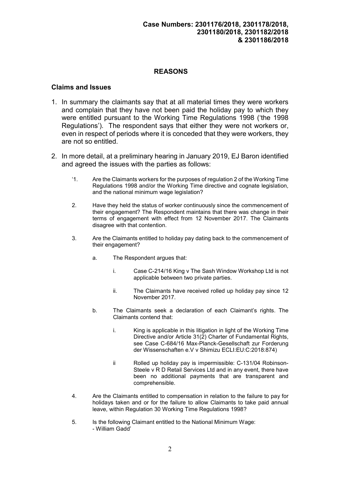#### REASONS

#### Claims and Issues

- 1. In summary the claimants say that at all material times they were workers and complain that they have not been paid the holiday pay to which they were entitled pursuant to the Working Time Regulations 1998 ('the 1998 Regulations'). The respondent says that either they were not workers or, even in respect of periods where it is conceded that they were workers, they are not so entitled.
- 2. In more detail, at a preliminary hearing in January 2019, EJ Baron identified and agreed the issues with the parties as follows:
	- '1. Are the Claimants workers for the purposes of regulation 2 of the Working Time Regulations 1998 and/or the Working Time directive and cognate legislation, and the national minimum wage legislation?
	- 2. Have they held the status of worker continuously since the commencement of their engagement? The Respondent maintains that there was change in their terms of engagement with effect from 12 November 2017. The Claimants disagree with that contention.
	- 3. Are the Claimants entitled to holiday pay dating back to the commencement of their engagement?
		- a. The Respondent argues that:
			- i. Case C-214/16 King v The Sash Window Workshop Ltd is not applicable between two private parties.
			- ii. The Claimants have received rolled up holiday pay since 12 November 2017.
		- b. The Claimants seek a declaration of each Claimant's rights. The Claimants contend that:
			- i. King is applicable in this litigation in light of the Working Time Directive and/or Article 31(2) Charter of Fundamental Rights, see Case C-684/16 Max-Planck-Gesellschaft zur Forderung der Wissenschaften e.V v Shimizu ECLI:EU:C:2018:874)
			- ii Rolled up holiday pay is impermissible: C-131/04 Robinson-Steele v R D Retail Services Ltd and in any event, there have been no additional payments that are transparent and comprehensible.
	- 4. Are the Claimants entitled to compensation in relation to the failure to pay for holidays taken and or for the failure to allow Claimants to take paid annual leave, within Regulation 30 Working Time Regulations 1998?
	- 5. Is the following Claimant entitled to the National Minimum Wage: - William Gadd'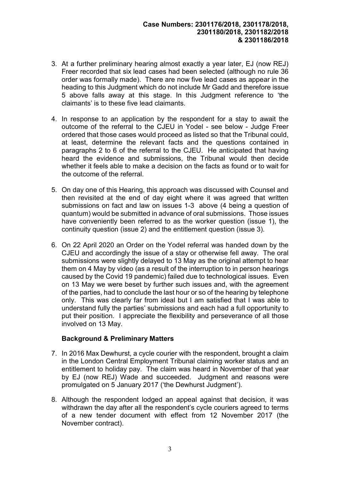- 3. At a further preliminary hearing almost exactly a year later, EJ (now REJ) Freer recorded that six lead cases had been selected (although no rule 36 order was formally made). There are now five lead cases as appear in the heading to this Judgment which do not include Mr Gadd and therefore issue 5 above falls away at this stage. In this Judgment reference to 'the claimants' is to these five lead claimants.
- 4. In response to an application by the respondent for a stay to await the outcome of the referral to the CJEU in Yodel - see below - Judge Freer ordered that those cases would proceed as listed so that the Tribunal could, at least, determine the relevant facts and the questions contained in paragraphs 2 to 6 of the referral to the CJEU. He anticipated that having heard the evidence and submissions, the Tribunal would then decide whether it feels able to make a decision on the facts as found or to wait for the outcome of the referral.
- 5. On day one of this Hearing, this approach was discussed with Counsel and then revisited at the end of day eight where it was agreed that written submissions on fact and law on issues 1-3 above (4 being a question of quantum) would be submitted in advance of oral submissions. Those issues have conveniently been referred to as the worker question (issue 1), the continuity question (issue 2) and the entitlement question (issue 3).
- 6. On 22 April 2020 an Order on the Yodel referral was handed down by the CJEU and accordingly the issue of a stay or otherwise fell away. The oral submissions were slightly delayed to 13 May as the original attempt to hear them on 4 May by video (as a result of the interruption to in person hearings caused by the Covid 19 pandemic) failed due to technological issues. Even on 13 May we were beset by further such issues and, with the agreement of the parties, had to conclude the last hour or so of the hearing by telephone only. This was clearly far from ideal but I am satisfied that I was able to understand fully the parties' submissions and each had a full opportunity to put their position. I appreciate the flexibility and perseverance of all those involved on 13 May.

#### Background & Preliminary Matters

- 7. In 2016 Max Dewhurst, a cycle courier with the respondent, brought a claim in the London Central Employment Tribunal claiming worker status and an entitlement to holiday pay. The claim was heard in November of that year by EJ (now REJ) Wade and succeeded. Judgment and reasons were promulgated on 5 January 2017 ('the Dewhurst Judgment').
- 8. Although the respondent lodged an appeal against that decision, it was withdrawn the day after all the respondent's cycle couriers agreed to terms of a new tender document with effect from 12 November 2017 (the November contract).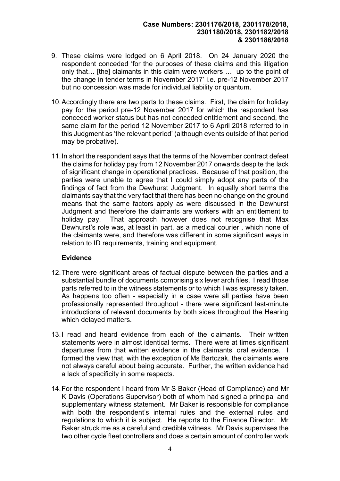- 9. These claims were lodged on 6 April 2018. On 24 January 2020 the respondent conceded 'for the purposes of these claims and this litigation only that… [the] claimants in this claim were workers … up to the point of the change in tender terms in November 2017' i.e. pre-12 November 2017 but no concession was made for individual liability or quantum.
- 10. Accordingly there are two parts to these claims. First, the claim for holiday pay for the period pre-12 November 2017 for which the respondent has conceded worker status but has not conceded entitlement and second, the same claim for the period 12 November 2017 to 6 April 2018 referred to in this Judgment as 'the relevant period' (although events outside of that period may be probative).
- 11. In short the respondent says that the terms of the November contract defeat the claims for holiday pay from 12 November 2017 onwards despite the lack of significant change in operational practices. Because of that position, the parties were unable to agree that I could simply adopt any parts of the findings of fact from the Dewhurst Judgment. In equally short terms the claimants say that the very fact that there has been no change on the ground means that the same factors apply as were discussed in the Dewhurst Judgment and therefore the claimants are workers with an entitlement to holiday pay. That approach however does not recognise that Max Dewhurst's role was, at least in part, as a medical courier , which none of the claimants were, and therefore was different in some significant ways in relation to ID requirements, training and equipment.

#### Evidence

- 12. There were significant areas of factual dispute between the parties and a substantial bundle of documents comprising six lever arch files. I read those parts referred to in the witness statements or to which I was expressly taken. As happens too often - especially in a case were all parties have been professionally represented throughout - there were significant last-minute introductions of relevant documents by both sides throughout the Hearing which delayed matters.
- 13. I read and heard evidence from each of the claimants. Their written statements were in almost identical terms. There were at times significant departures from that written evidence in the claimants' oral evidence. I formed the view that, with the exception of Ms Bartczak, the claimants were not always careful about being accurate. Further, the written evidence had a lack of specificity in some respects.
- 14. For the respondent I heard from Mr S Baker (Head of Compliance) and Mr K Davis (Operations Supervisor) both of whom had signed a principal and supplementary witness statement. Mr Baker is responsible for compliance with both the respondent's internal rules and the external rules and regulations to which it is subject. He reports to the Finance Director. Mr Baker struck me as a careful and credible witness. Mr Davis supervises the two other cycle fleet controllers and does a certain amount of controller work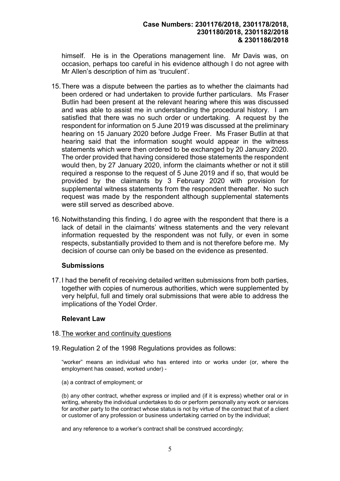himself. He is in the Operations management line. Mr Davis was, on occasion, perhaps too careful in his evidence although I do not agree with Mr Allen's description of him as 'truculent'.

- 15. There was a dispute between the parties as to whether the claimants had been ordered or had undertaken to provide further particulars. Ms Fraser Butlin had been present at the relevant hearing where this was discussed and was able to assist me in understanding the procedural history. I am satisfied that there was no such order or undertaking. A request by the respondent for information on 5 June 2019 was discussed at the preliminary hearing on 15 January 2020 before Judge Freer. Ms Fraser Butlin at that hearing said that the information sought would appear in the witness statements which were then ordered to be exchanged by 20 January 2020. The order provided that having considered those statements the respondent would then, by 27 January 2020, inform the claimants whether or not it still required a response to the request of 5 June 2019 and if so, that would be provided by the claimants by 3 February 2020 with provision for supplemental witness statements from the respondent thereafter. No such request was made by the respondent although supplemental statements were still served as described above.
- 16. Notwithstanding this finding, I do agree with the respondent that there is a lack of detail in the claimants' witness statements and the very relevant information requested by the respondent was not fully, or even in some respects, substantially provided to them and is not therefore before me. My decision of course can only be based on the evidence as presented.

#### **Submissions**

17. I had the benefit of receiving detailed written submissions from both parties, together with copies of numerous authorities, which were supplemented by very helpful, full and timely oral submissions that were able to address the implications of the Yodel Order.

#### Relevant Law

#### 18. The worker and continuity questions

19. Regulation 2 of the 1998 Regulations provides as follows:

"worker" means an individual who has entered into or works under (or, where the employment has ceased, worked under) -

(a) a contract of employment; or

(b) any other contract, whether express or implied and (if it is express) whether oral or in writing, whereby the individual undertakes to do or perform personally any work or services for another party to the contract whose status is not by virtue of the contract that of a client or customer of any profession or business undertaking carried on by the individual;

and any reference to a worker's contract shall be construed accordingly;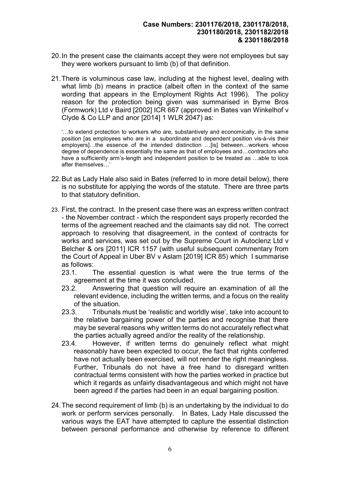- 20. In the present case the claimants accept they were not employees but say they were workers pursuant to limb (b) of that definition.
- 21. There is voluminous case law, including at the highest level, dealing with what limb (b) means in practice (albeit often in the context of the same wording that appears in the Employment Rights Act 1996). The policy reason for the protection being given was summarised in Byrne Bros (Formwork) Ltd v Baird [2002] ICR 667 (approved in Bates van Winkelhof v Clyde & Co LLP and anor [2014] 1 WLR 2047) as:

'…to extend protection to workers who are, substantively and economically, in the same position [as employees who are in a subordinate and dependent position vis-à-vis their employers]…the essence of the intended distinction …[is] between…workers whose degree of dependence is essentially the same as that of employees and…contractors who have a sufficiently arm's-length and independent position to be treated as …able to look after themselves…'

- 22. But as Lady Hale also said in Bates (referred to in more detail below), there is no substitute for applying the words of the statute. There are three parts to that statutory definition.
- 23. First, the contract. In the present case there was an express written contract - the November contract - which the respondent says properly recorded the terms of the agreement reached and the claimants say did not. The correct approach to resolving that disagreement, in the context of contracts for works and services, was set out by the Supreme Court in Autoclenz Ltd v Belcher & ors [2011] ICR 1157 (with useful subsequent commentary from the Court of Appeal in Uber BV v Aslam [2019] ICR 85) which I summarise as follows:
	- 23.1. The essential question is what were the true terms of the agreement at the time it was concluded.
	- 23.2. Answering that question will require an examination of all the relevant evidence, including the written terms, and a focus on the reality of the situation.
	- 23.3. Tribunals must be 'realistic and worldly wise', take into account to the relative bargaining power of the parties and recognise that there may be several reasons why written terms do not accurately reflect what the parties actually agreed and/or the reality of the relationship.
	- 23.4. However, if written terms do genuinely reflect what might reasonably have been expected to occur, the fact that rights conferred have not actually been exercised, will not render the right meaningless. Further, Tribunals do not have a free hand to disregard written contractual terms consistent with how the parties worked in practice but which it regards as unfairly disadvantageous and which might not have been agreed if the parties had been in an equal bargaining position.
- 24. The second requirement of limb (b) is an undertaking by the individual to do work or perform services personally. In Bates, Lady Hale discussed the various ways the EAT have attempted to capture the essential distinction between personal performance and otherwise by reference to different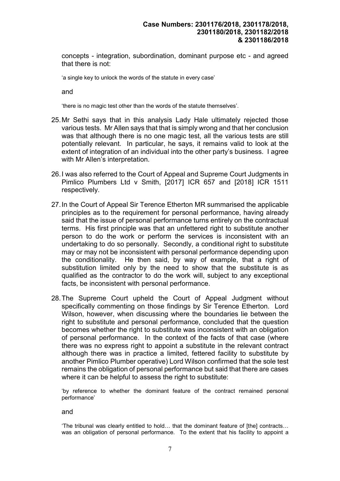concepts - integration, subordination, dominant purpose etc - and agreed that there is not:

'a single key to unlock the words of the statute in every case'

and

'there is no magic test other than the words of the statute themselves'.

- 25. Mr Sethi says that in this analysis Lady Hale ultimately rejected those various tests. Mr Allen says that that is simply wrong and that her conclusion was that although there is no one magic test, all the various tests are still potentially relevant. In particular, he says, it remains valid to look at the extent of integration of an individual into the other party's business. I agree with Mr Allen's interpretation.
- 26. I was also referred to the Court of Appeal and Supreme Court Judgments in Pimlico Plumbers Ltd v Smith, [2017] ICR 657 and [2018] ICR 1511 respectively.
- 27. In the Court of Appeal Sir Terence Etherton MR summarised the applicable principles as to the requirement for personal performance, having already said that the issue of personal performance turns entirely on the contractual terms. His first principle was that an unfettered right to substitute another person to do the work or perform the services is inconsistent with an undertaking to do so personally. Secondly, a conditional right to substitute may or may not be inconsistent with personal performance depending upon the conditionality. He then said, by way of example, that a right of substitution limited only by the need to show that the substitute is as qualified as the contractor to do the work will, subject to any exceptional facts, be inconsistent with personal performance.
- 28. The Supreme Court upheld the Court of Appeal Judgment without specifically commenting on those findings by Sir Terence Etherton. Lord Wilson, however, when discussing where the boundaries lie between the right to substitute and personal performance, concluded that the question becomes whether the right to substitute was inconsistent with an obligation of personal performance. In the context of the facts of that case (where there was no express right to appoint a substitute in the relevant contract although there was in practice a limited, fettered facility to substitute by another Pimlico Plumber operative) Lord Wilson confirmed that the sole test remains the obligation of personal performance but said that there are cases where it can be helpful to assess the right to substitute:

'by reference to whether the dominant feature of the contract remained personal performance'

and

'The tribunal was clearly entitled to hold… that the dominant feature of [the] contracts… was an obligation of personal performance. To the extent that his facility to appoint a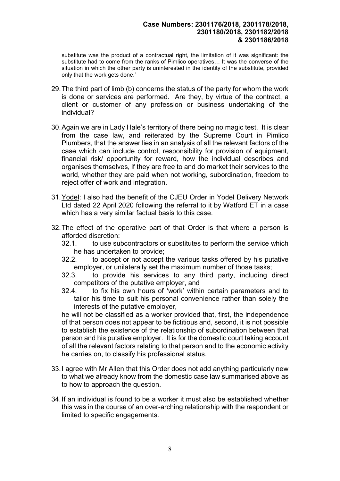substitute was the product of a contractual right, the limitation of it was significant: the substitute had to come from the ranks of Pimlico operatives… It was the converse of the situation in which the other party is uninterested in the identity of the substitute, provided only that the work gets done.'

- 29. The third part of limb (b) concerns the status of the party for whom the work is done or services are performed. Are they, by virtue of the contract, a client or customer of any profession or business undertaking of the individual?
- 30. Again we are in Lady Hale's territory of there being no magic test. It is clear from the case law, and reiterated by the Supreme Court in Pimlico Plumbers, that the answer lies in an analysis of all the relevant factors of the case which can include control, responsibility for provision of equipment, financial risk/ opportunity for reward, how the individual describes and organises themselves, if they are free to and do market their services to the world, whether they are paid when not working, subordination, freedom to reject offer of work and integration.
- 31. Yodel: I also had the benefit of the CJEU Order in Yodel Delivery Network Ltd dated 22 April 2020 following the referral to it by Watford ET in a case which has a very similar factual basis to this case.
- 32. The effect of the operative part of that Order is that where a person is afforded discretion:
	- 32.1. to use subcontractors or substitutes to perform the service which he has undertaken to provide;
	- 32.2. to accept or not accept the various tasks offered by his putative employer, or unilaterally set the maximum number of those tasks;
	- 32.3. to provide his services to any third party, including direct competitors of the putative employer, and
	- 32.4. to fix his own hours of 'work' within certain parameters and to tailor his time to suit his personal convenience rather than solely the interests of the putative employer,

he will not be classified as a worker provided that, first, the independence of that person does not appear to be fictitious and, second, it is not possible to establish the existence of the relationship of subordination between that person and his putative employer. It is for the domestic court taking account of all the relevant factors relating to that person and to the economic activity he carries on, to classify his professional status.

- 33. I agree with Mr Allen that this Order does not add anything particularly new to what we already know from the domestic case law summarised above as to how to approach the question.
- 34. If an individual is found to be a worker it must also be established whether this was in the course of an over-arching relationship with the respondent or limited to specific engagements.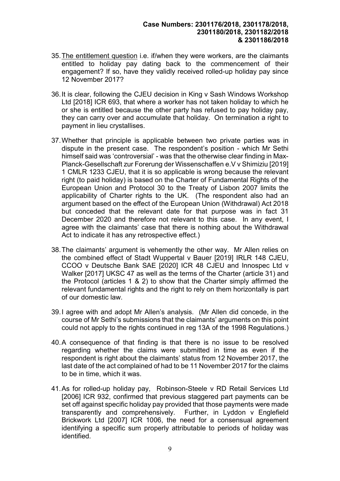- 35. The entitlement question i.e. if/when they were workers, are the claimants entitled to holiday pay dating back to the commencement of their engagement? If so, have they validly received rolled-up holiday pay since 12 November 2017?
- 36. It is clear, following the CJEU decision in King v Sash Windows Workshop Ltd [2018] ICR 693, that where a worker has not taken holiday to which he or she is entitled because the other party has refused to pay holiday pay, they can carry over and accumulate that holiday. On termination a right to payment in lieu crystallises.
- 37. Whether that principle is applicable between two private parties was in dispute in the present case. The respondent's position - which Mr Sethi himself said was 'controversial' - was that the otherwise clear finding in Max-Planck-Gesellschaft zur Forerung der Wissenschaffen e.V v Shimiziu [2019] 1 CMLR 1233 CJEU, that it is so applicable is wrong because the relevant right (to paid holiday) is based on the Charter of Fundamental Rights of the European Union and Protocol 30 to the Treaty of Lisbon 2007 limits the applicability of Charter rights to the UK. (The respondent also had an argument based on the effect of the European Union (Withdrawal) Act 2018 but conceded that the relevant date for that purpose was in fact 31 December 2020 and therefore not relevant to this case. In any event, I agree with the claimants' case that there is nothing about the Withdrawal Act to indicate it has any retrospective effect.)
- 38. The claimants' argument is vehemently the other way. Mr Allen relies on the combined effect of Stadt Wuppertal v Bauer [2019] IRLR 148 CJEU, CCOO v Deutsche Bank SAE [2020] ICR 48 CJEU and Innospec Ltd v Walker [2017] UKSC 47 as well as the terms of the Charter (article 31) and the Protocol (articles 1 & 2) to show that the Charter simply affirmed the relevant fundamental rights and the right to rely on them horizontally is part of our domestic law.
- 39. I agree with and adopt Mr Allen's analysis. (Mr Allen did concede, in the course of Mr Sethi's submissions that the claimants' arguments on this point could not apply to the rights continued in reg 13A of the 1998 Regulations.)
- 40. A consequence of that finding is that there is no issue to be resolved regarding whether the claims were submitted in time as even if the respondent is right about the claimants' status from 12 November 2017, the last date of the act complained of had to be 11 November 2017 for the claims to be in time, which it was.
- 41. As for rolled-up holiday pay, Robinson-Steele v RD Retail Services Ltd [2006] ICR 932, confirmed that previous staggered part payments can be set off against specific holiday pay provided that those payments were made transparently and comprehensively. Further, in Lyddon v Englefield Brickwork Ltd [2007] ICR 1006, the need for a consensual agreement identifying a specific sum properly attributable to periods of holiday was identified.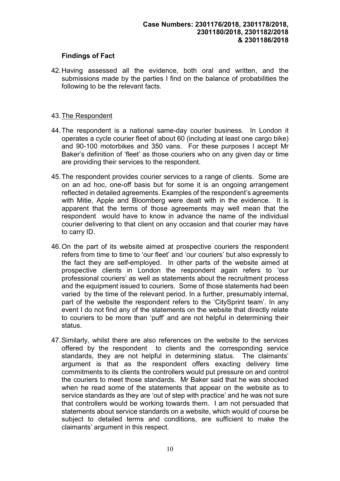### Findings of Fact

42. Having assessed all the evidence, both oral and written, and the submissions made by the parties I find on the balance of probabilities the following to be the relevant facts.

#### 43. The Respondent

- 44. The respondent is a national same-day courier business. In London it operates a cycle courier fleet of about 60 (including at least one cargo bike) and 90-100 motorbikes and 350 vans. For these purposes I accept Mr Baker's definition of 'fleet' as those couriers who on any given day or time are providing their services to the respondent.
- 45. The respondent provides courier services to a range of clients. Some are on an ad hoc, one-off basis but for some it is an ongoing arrangement reflected in detailed agreements. Examples of the respondent's agreements with Mitie, Apple and Bloomberg were dealt with in the evidence. It is apparent that the terms of those agreements may well mean that the respondent would have to know in advance the name of the individual courier delivering to that client on any occasion and that courier may have to carry ID.
- 46. On the part of its website aimed at prospective couriers the respondent refers from time to time to 'our fleet' and 'our couriers' but also expressly to the fact they are self-employed. In other parts of the website aimed at prospective clients in London the respondent again refers to 'our professional couriers' as well as statements about the recruitment process and the equipment issued to couriers. Some of those statements had been varied by the time of the relevant period. In a further, presumably internal, part of the website the respondent refers to the 'CitySprint team'. In any event I do not find any of the statements on the website that directly relate to couriers to be more than 'puff' and are not helpful in determining their status.
- 47. Similarly, whilst there are also references on the website to the services offered by the respondent to clients and the corresponding service standards, they are not helpful in determining status. The claimants' argument is that as the respondent offers exacting delivery time commitments to its clients the controllers would put pressure on and control the couriers to meet those standards. Mr Baker said that he was shocked when he read some of the statements that appear on the website as to service standards as they are 'out of step with practice' and he was not sure that controllers would be working towards them. I am not persuaded that statements about service standards on a website, which would of course be subject to detailed terms and conditions, are sufficient to make the claimants' argument in this respect.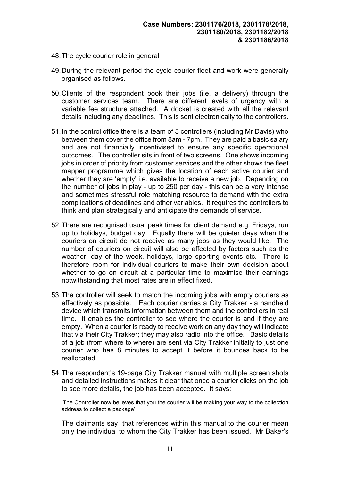#### 48. The cycle courier role in general

- 49. During the relevant period the cycle courier fleet and work were generally organised as follows.
- 50. Clients of the respondent book their jobs (i.e. a delivery) through the customer services team. There are different levels of urgency with a variable fee structure attached. A docket is created with all the relevant details including any deadlines. This is sent electronically to the controllers.
- 51. In the control office there is a team of 3 controllers (including Mr Davis) who between them cover the office from 8am - 7pm. They are paid a basic salary and are not financially incentivised to ensure any specific operational outcomes. The controller sits in front of two screens. One shows incoming jobs in order of priority from customer services and the other shows the fleet mapper programme which gives the location of each active courier and whether they are 'empty' i.e. available to receive a new job. Depending on the number of jobs in play - up to 250 per day - this can be a very intense and sometimes stressful role matching resource to demand with the extra complications of deadlines and other variables. It requires the controllers to think and plan strategically and anticipate the demands of service.
- 52. There are recognised usual peak times for client demand e.g. Fridays, run up to holidays, budget day. Equally there will be quieter days when the couriers on circuit do not receive as many jobs as they would like. The number of couriers on circuit will also be affected by factors such as the weather, day of the week, holidays, large sporting events etc. There is therefore room for individual couriers to make their own decision about whether to go on circuit at a particular time to maximise their earnings notwithstanding that most rates are in effect fixed.
- 53. The controller will seek to match the incoming jobs with empty couriers as effectively as possible. Each courier carries a City Trakker - a handheld device which transmits information between them and the controllers in real time. It enables the controller to see where the courier is and if they are empty. When a courier is ready to receive work on any day they will indicate that via their City Trakker; they may also radio into the office. Basic details of a job (from where to where) are sent via City Trakker initially to just one courier who has 8 minutes to accept it before it bounces back to be reallocated.
- 54. The respondent's 19-page City Trakker manual with multiple screen shots and detailed instructions makes it clear that once a courier clicks on the job to see more details, the job has been accepted. It says:

'The Controller now believes that you the courier will be making your way to the collection address to collect a package'

The claimants say that references within this manual to the courier mean only the individual to whom the City Trakker has been issued. Mr Baker's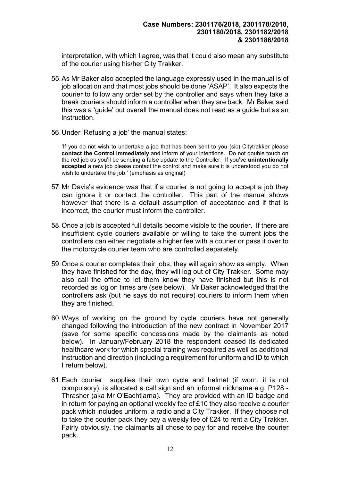interpretation, with which I agree, was that it could also mean any substitute of the courier using his/her City Trakker.

- 55. As Mr Baker also accepted the language expressly used in the manual is of job allocation and that most jobs should be done 'ASAP'. It also expects the courier to follow any order set by the controller and says when they take a break couriers should inform a controller when they are back. Mr Baker said this was a 'guide' but overall the manual does not read as a guide but as an instruction.
- 56. Under 'Refusing a job' the manual states:

'If you do not wish to undertake a job that has been sent to you (sic) Citytrakker please contact the Control immediately and inform of your intentions. Do not double touch on the red job as you'll be sending a false update to the Controller. If you've unintentionally accepted a new job please contact the control and make sure it is understood you do not wish to undertake the job.' (emphasis as original)

- 57. Mr Davis's evidence was that if a courier is not going to accept a job they can ignore it or contact the controller. This part of the manual shows however that there is a default assumption of acceptance and if that is incorrect, the courier must inform the controller.
- 58. Once a job is accepted full details become visible to the courier. If there are insufficient cycle couriers available or willing to take the current jobs the controllers can either negotiate a higher fee with a courier or pass it over to the motorcycle courier team who are controlled separately.
- 59. Once a courier completes their jobs, they will again show as empty. When they have finished for the day, they will log out of City Trakker. Some may also call the office to let them know they have finished but this is not recorded as log on times are (see below). Mr Baker acknowledged that the controllers ask (but he says do not require) couriers to inform them when they are finished.
- 60. Ways of working on the ground by cycle couriers have not generally changed following the introduction of the new contract in November 2017 (save for some specific concessions made by the claimants as noted below). In January/February 2018 the respondent ceased its dedicated healthcare work for which special training was required as well as additional instruction and direction (including a requirement for uniform and ID to which I return below).
- 61. Each courier supplies their own cycle and helmet (if worn, it is not compulsory), is allocated a call sign and an informal nickname e.g. P128 - Thrasher (aka Mr O'Eachtiarna). They are provided with an ID badge and in return for paying an optional weekly fee of £10 they also receive a courier pack which includes uniform, a radio and a City Trakker. If they choose not to take the courier pack they pay a weekly fee of £24 to rent a City Trakker. Fairly obviously, the claimants all chose to pay for and receive the courier pack.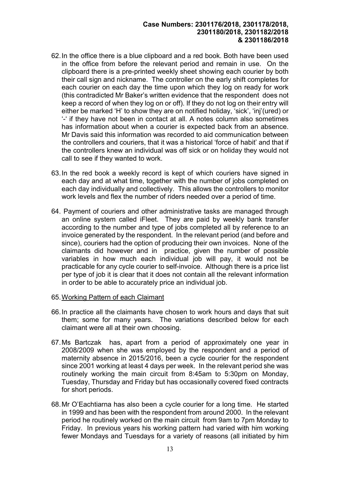- 62. In the office there is a blue clipboard and a red book. Both have been used in the office from before the relevant period and remain in use. On the clipboard there is a pre-printed weekly sheet showing each courier by both their call sign and nickname. The controller on the early shift completes for each courier on each day the time upon which they log on ready for work (this contradicted Mr Baker's written evidence that the respondent does not keep a record of when they log on or off). If they do not log on their entry will either be marked 'H' to show they are on notified holiday, 'sick', 'inj'(ured) or '-' if they have not been in contact at all. A notes column also sometimes has information about when a courier is expected back from an absence. Mr Davis said this information was recorded to aid communication between the controllers and couriers, that it was a historical 'force of habit' and that if the controllers knew an individual was off sick or on holiday they would not call to see if they wanted to work.
- 63. In the red book a weekly record is kept of which couriers have signed in each day and at what time, together with the number of jobs completed on each day individually and collectively. This allows the controllers to monitor work levels and flex the number of riders needed over a period of time.
- 64. Payment of couriers and other administrative tasks are managed through an online system called iFleet. They are paid by weekly bank transfer according to the number and type of jobs completed all by reference to an invoice generated by the respondent. In the relevant period (and before and since), couriers had the option of producing their own invoices. None of the claimants did however and in practice, given the number of possible variables in how much each individual job will pay, it would not be practicable for any cycle courier to self-invoice. Although there is a price list per type of job it is clear that it does not contain all the relevant information in order to be able to accurately price an individual job.
- 65. Working Pattern of each Claimant
- 66. In practice all the claimants have chosen to work hours and days that suit them; some for many years. The variations described below for each claimant were all at their own choosing.
- 67. Ms Bartczak has, apart from a period of approximately one year in 2008/2009 when she was employed by the respondent and a period of maternity absence in 2015/2016, been a cycle courier for the respondent since 2001 working at least 4 days per week. In the relevant period she was routinely working the main circuit from 8:45am to 5:30pm on Monday, Tuesday, Thursday and Friday but has occasionally covered fixed contracts for short periods.
- 68. Mr O'Eachtiarna has also been a cycle courier for a long time. He started in 1999 and has been with the respondent from around 2000. In the relevant period he routinely worked on the main circuit from 9am to 7pm Monday to Friday. In previous years his working pattern had varied with him working fewer Mondays and Tuesdays for a variety of reasons (all initiated by him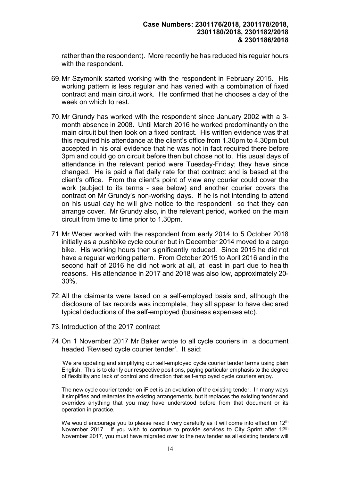rather than the respondent). More recently he has reduced his regular hours with the respondent.

- 69. Mr Szymonik started working with the respondent in February 2015. His working pattern is less regular and has varied with a combination of fixed contract and main circuit work. He confirmed that he chooses a day of the week on which to rest.
- 70. Mr Grundy has worked with the respondent since January 2002 with a 3 month absence in 2008. Until March 2016 he worked predominantly on the main circuit but then took on a fixed contract. His written evidence was that this required his attendance at the client's office from 1.30pm to 4.30pm but accepted in his oral evidence that he was not in fact required there before 3pm and could go on circuit before then but chose not to. His usual days of attendance in the relevant period were Tuesday-Friday; they have since changed. He is paid a flat daily rate for that contract and is based at the client's office. From the client's point of view any courier could cover the work (subject to its terms - see below) and another courier covers the contract on Mr Grundy's non-working days. If he is not intending to attend on his usual day he will give notice to the respondent so that they can arrange cover. Mr Grundy also, in the relevant period, worked on the main circuit from time to time prior to 1.30pm.
- 71. Mr Weber worked with the respondent from early 2014 to 5 October 2018 initially as a pushbike cycle courier but in December 2014 moved to a cargo bike. His working hours then significantly reduced. Since 2015 he did not have a regular working pattern. From October 2015 to April 2016 and in the second half of 2016 he did not work at all, at least in part due to health reasons. His attendance in 2017 and 2018 was also low, approximately 20- 30%.
- 72. All the claimants were taxed on a self-employed basis and, although the disclosure of tax records was incomplete, they all appear to have declared typical deductions of the self-employed (business expenses etc).

#### 73. Introduction of the 2017 contract

74. On 1 November 2017 Mr Baker wrote to all cycle couriers in a document headed 'Revised cycle courier tender'. It said:

'We are updating and simplifying our self-employed cycle courier tender terms using plain English. This is to clarify our respective positions, paying particular emphasis to the degree of flexibility and lack of control and direction that self-employed cycle couriers enjoy.

The new cycle courier tender on iFleet is an evolution of the existing tender. In many ways it simplifies and reiterates the existing arrangements, but it replaces the existing tender and overrides anything that you may have understood before from that document or its operation in practice.

We would encourage you to please read it very carefully as it will come into effect on  $12<sup>th</sup>$ November 2017. If you wish to continue to provide services to City Sprint after 12<sup>th</sup> November 2017, you must have migrated over to the new tender as all existing tenders will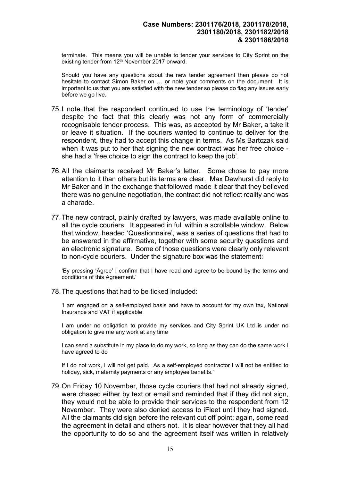terminate. This means you will be unable to tender your services to City Sprint on the existing tender from 12<sup>th</sup> November 2017 onward.

Should you have any questions about the new tender agreement then please do not hesitate to contact Simon Baker on … or note your comments on the document. It is important to us that you are satisfied with the new tender so please do flag any issues early before we go live.'

- 75. I note that the respondent continued to use the terminology of 'tender' despite the fact that this clearly was not any form of commercially recognisable tender process. This was, as accepted by Mr Baker, a take it or leave it situation. If the couriers wanted to continue to deliver for the respondent, they had to accept this change in terms. As Ms Bartczak said when it was put to her that signing the new contract was her free choice she had a 'free choice to sign the contract to keep the job'.
- 76. All the claimants received Mr Baker's letter. Some chose to pay more attention to it than others but its terms are clear. Max Dewhurst did reply to Mr Baker and in the exchange that followed made it clear that they believed there was no genuine negotiation, the contract did not reflect reality and was a charade.
- 77. The new contract, plainly drafted by lawyers, was made available online to all the cycle couriers. It appeared in full within a scrollable window. Below that window, headed 'Questionnaire', was a series of questions that had to be answered in the affirmative, together with some security questions and an electronic signature. Some of those questions were clearly only relevant to non-cycle couriers. Under the signature box was the statement:

'By pressing 'Agree' I confirm that I have read and agree to be bound by the terms and conditions of this Agreement.'

78. The questions that had to be ticked included:

'I am engaged on a self-employed basis and have to account for my own tax, National Insurance and VAT if applicable

I am under no obligation to provide my services and City Sprint UK Ltd is under no obligation to give me any work at any time

I can send a substitute in my place to do my work, so long as they can do the same work I have agreed to do

If I do not work, I will not get paid. As a self-employed contractor I will not be entitled to holiday, sick, maternity payments or any employee benefits.'

79. On Friday 10 November, those cycle couriers that had not already signed, were chased either by text or email and reminded that if they did not sign, they would not be able to provide their services to the respondent from 12 November. They were also denied access to iFleet until they had signed. All the claimants did sign before the relevant cut off point; again, some read the agreement in detail and others not. It is clear however that they all had the opportunity to do so and the agreement itself was written in relatively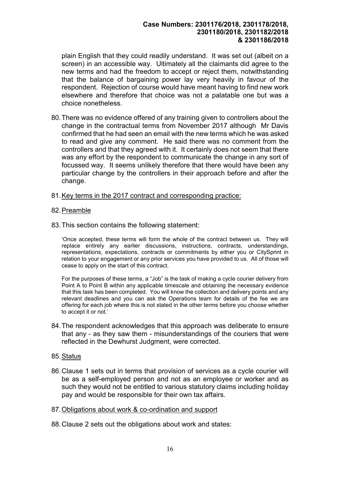plain English that they could readily understand. It was set out (albeit on a screen) in an accessible way. Ultimately all the claimants did agree to the new terms and had the freedom to accept or reject them, notwithstanding that the balance of bargaining power lay very heavily in favour of the respondent. Rejection of course would have meant having to find new work elsewhere and therefore that choice was not a palatable one but was a choice nonetheless.

- 80. There was no evidence offered of any training given to controllers about the change in the contractual terms from November 2017 although Mr Davis confirmed that he had seen an email with the new terms which he was asked to read and give any comment. He said there was no comment from the controllers and that they agreed with it. It certainly does not seem that there was any effort by the respondent to communicate the change in any sort of focussed way. It seems unlikely therefore that there would have been any particular change by the controllers in their approach before and after the change.
- 81. Key terms in the 2017 contract and corresponding practice:
- 82. Preamble
- 83. This section contains the following statement:

'Once accepted, these terms will form the whole of the contract between us. They will replace entirely any earlier discussions, instructions, contracts, understandings, representations, expectations, contracts or commitments by either you or CitySprint in relation to your engagement or any prior services you have provided to us. All of those will cease to apply on the start of this contract.

For the purposes of these terms, a "Job" is the task of making a cycle courier delivery from Point A to Point B within any applicable timescale and obtaining the necessary evidence that this task has been completed. You will know the collection and delivery points and any relevant deadlines and you can ask the Operations team for details of the fee we are offering for each job where this is not stated in the other terms before you choose whether to accept it or not.'

- 84. The respondent acknowledges that this approach was deliberate to ensure that any - as they saw them - misunderstandings of the couriers that were reflected in the Dewhurst Judgment, were corrected.
- 85. Status
- 86. Clause 1 sets out in terms that provision of services as a cycle courier will be as a self-employed person and not as an employee or worker and as such they would not be entitled to various statutory claims including holiday pay and would be responsible for their own tax affairs.
- 87. Obligations about work & co-ordination and support
- 88. Clause 2 sets out the obligations about work and states: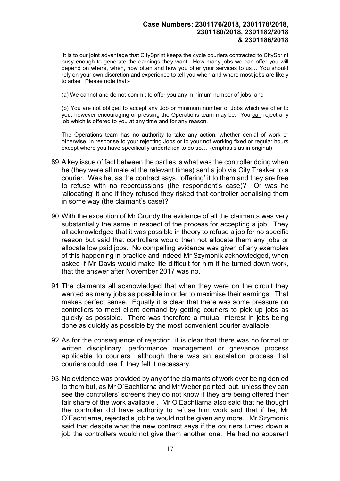'It is to our joint advantage that CitySprint keeps the cycle couriers contracted to CitySprint busy enough to generate the earnings they want. How many jobs we can offer you will depend on where, when, how often and how you offer your services to us… You should rely on your own discretion and experience to tell you when and where most jobs are likely to arise. Please note that:-

(a) We cannot and do not commit to offer you any minimum number of jobs; and

(b) You are not obliged to accept any Job or minimum number of Jobs which we offer to you, however encouraging or pressing the Operations team may be. You can reject any job which is offered to you at any time and for any reason.

The Operations team has no authority to take any action, whether denial of work or otherwise, in response to your rejecting Jobs or to your not working fixed or regular hours except where you have specifically undertaken to do so…' (emphasis as in original)

- 89. A key issue of fact between the parties is what was the controller doing when he (they were all male at the relevant times) sent a job via City Trakker to a courier. Was he, as the contract says, 'offering' it to them and they are free to refuse with no repercussions (the respondent's case)? Or was he 'allocating' it and if they refused they risked that controller penalising them in some way (the claimant's case)?
- 90. With the exception of Mr Grundy the evidence of all the claimants was very substantially the same in respect of the process for accepting a job. They all acknowledged that it was possible in theory to refuse a job for no specific reason but said that controllers would then not allocate them any jobs or allocate low paid jobs. No compelling evidence was given of any examples of this happening in practice and indeed Mr Szymonik acknowledged, when asked if Mr Davis would make life difficult for him if he turned down work, that the answer after November 2017 was no.
- 91. The claimants all acknowledged that when they were on the circuit they wanted as many jobs as possible in order to maximise their earnings. That makes perfect sense. Equally it is clear that there was some pressure on controllers to meet client demand by getting couriers to pick up jobs as quickly as possible. There was therefore a mutual interest in jobs being done as quickly as possible by the most convenient courier available.
- 92. As for the consequence of rejection, it is clear that there was no formal or written disciplinary, performance management or grievance process applicable to couriers although there was an escalation process that couriers could use if they felt it necessary.
- 93. No evidence was provided by any of the claimants of work ever being denied to them but, as Mr O'Eachtiarna and Mr Weber pointed out, unless they can see the controllers' screens they do not know if they are being offered their fair share of the work available . Mr O'Eachtiarna also said that he thought the controller did have authority to refuse him work and that if he, Mr O'Eachtiarna, rejected a job he would not be given any more. Mr Szymonik said that despite what the new contract says if the couriers turned down a job the controllers would not give them another one. He had no apparent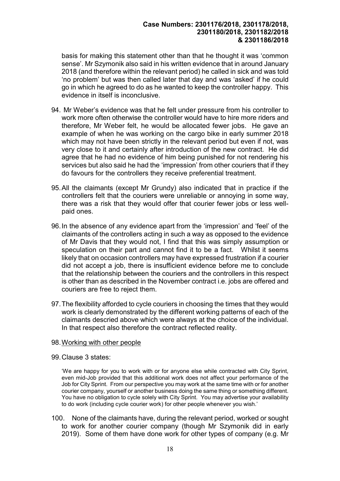basis for making this statement other than that he thought it was 'common sense'. Mr Szymonik also said in his written evidence that in around January 2018 (and therefore within the relevant period) he called in sick and was told 'no problem' but was then called later that day and was 'asked' if he could go in which he agreed to do as he wanted to keep the controller happy. This evidence in itself is inconclusive.

- 94. Mr Weber's evidence was that he felt under pressure from his controller to work more often otherwise the controller would have to hire more riders and therefore, Mr Weber felt, he would be allocated fewer jobs. He gave an example of when he was working on the cargo bike in early summer 2018 which may not have been strictly in the relevant period but even if not, was very close to it and certainly after introduction of the new contract. He did agree that he had no evidence of him being punished for not rendering his services but also said he had the 'impression' from other couriers that if they do favours for the controllers they receive preferential treatment.
- 95. All the claimants (except Mr Grundy) also indicated that in practice if the controllers felt that the couriers were unreliable or annoying in some way, there was a risk that they would offer that courier fewer jobs or less wellpaid ones.
- 96. In the absence of any evidence apart from the 'impression' and 'feel' of the claimants of the controllers acting in such a way as opposed to the evidence of Mr Davis that they would not, I find that this was simply assumption or speculation on their part and cannot find it to be a fact. Whilst it seems likely that on occasion controllers may have expressed frustration if a courier did not accept a job, there is insufficient evidence before me to conclude that the relationship between the couriers and the controllers in this respect is other than as described in the November contract i.e. jobs are offered and couriers are free to reject them.
- 97. The flexibility afforded to cycle couriers in choosing the times that they would work is clearly demonstrated by the different working patterns of each of the claimants descried above which were always at the choice of the individual. In that respect also therefore the contract reflected reality.

#### 98. Working with other people

99. Clause 3 states:

'We are happy for you to work with or for anyone else while contracted with City Sprint, even mid-Job provided that this additional work does not affect your performance of the Job for City Sprint. From our perspective you may work at the same time with or for another courier company, yourself or another business doing the same thing or something different. You have no obligation to cycle solely with City Sprint. You may advertise your availability to do work (including cycle courier work) for other people whenever you wish.'

100. None of the claimants have, during the relevant period, worked or sought to work for another courier company (though Mr Szymonik did in early 2019). Some of them have done work for other types of company (e.g. Mr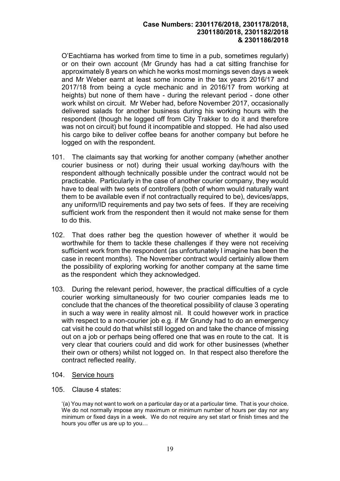O'Eachtiarna has worked from time to time in a pub, sometimes regularly) or on their own account (Mr Grundy has had a cat sitting franchise for approximately 8 years on which he works most mornings seven days a week and Mr Weber earnt at least some income in the tax years 2016/17 and 2017/18 from being a cycle mechanic and in 2016/17 from working at heights) but none of them have - during the relevant period - done other work whilst on circuit. Mr Weber had, before November 2017, occasionally delivered salads for another business during his working hours with the respondent (though he logged off from City Trakker to do it and therefore was not on circuit) but found it incompatible and stopped. He had also used his cargo bike to deliver coffee beans for another company but before he logged on with the respondent.

- 101. The claimants say that working for another company (whether another courier business or not) during their usual working day/hours with the respondent although technically possible under the contract would not be practicable. Particularly in the case of another courier company, they would have to deal with two sets of controllers (both of whom would naturally want them to be available even if not contractually required to be), devices/apps, any uniform/ID requirements and pay two sets of fees. If they are receiving sufficient work from the respondent then it would not make sense for them to do this.
- 102. That does rather beg the question however of whether it would be worthwhile for them to tackle these challenges if they were not receiving sufficient work from the respondent (as unfortunately I imagine has been the case in recent months). The November contract would certainly allow them the possibility of exploring working for another company at the same time as the respondent which they acknowledged.
- 103. During the relevant period, however, the practical difficulties of a cycle courier working simultaneously for two courier companies leads me to conclude that the chances of the theoretical possibility of clause 3 operating in such a way were in reality almost nil. It could however work in practice with respect to a non-courier job e.g. if Mr Grundy had to do an emergency cat visit he could do that whilst still logged on and take the chance of missing out on a job or perhaps being offered one that was en route to the cat. It is very clear that couriers could and did work for other businesses (whether their own or others) whilst not logged on. In that respect also therefore the contract reflected reality.
- 104. Service hours
- 105. Clause 4 states:

'(a) You may not want to work on a particular day or at a particular time. That is your choice. We do not normally impose any maximum or minimum number of hours per day nor any minimum or fixed days in a week. We do not require any set start or finish times and the hours you offer us are up to you…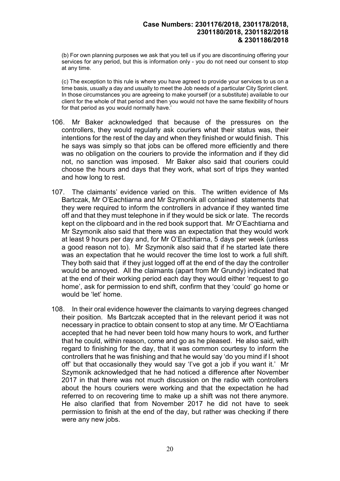(b) For own planning purposes we ask that you tell us if you are discontinuing offering your services for any period, but this is information only - you do not need our consent to stop at any time.

(c) The exception to this rule is where you have agreed to provide your services to us on a time basis, usually a day and usually to meet the Job needs of a particular City Sprint client. In those circumstances you are agreeing to make yourself (or a substitute) available to our client for the whole of that period and then you would not have the same flexibility of hours for that period as you would normally have.'

- 106. Mr Baker acknowledged that because of the pressures on the controllers, they would regularly ask couriers what their status was, their intentions for the rest of the day and when they finished or would finish. This he says was simply so that jobs can be offered more efficiently and there was no obligation on the couriers to provide the information and if they did not, no sanction was imposed. Mr Baker also said that couriers could choose the hours and days that they work, what sort of trips they wanted and how long to rest.
- 107. The claimants' evidence varied on this. The written evidence of Ms Bartczak, Mr O'Eachtiarna and Mr Szymonik all contained statements that they were required to inform the controllers in advance if they wanted time off and that they must telephone in if they would be sick or late. The records kept on the clipboard and in the red book support that. Mr O'Eachtiarna and Mr Szymonik also said that there was an expectation that they would work at least 9 hours per day and, for Mr O'Eachtiarna, 5 days per week (unless a good reason not to). Mr Szymonik also said that if he started late there was an expectation that he would recover the time lost to work a full shift. They both said that if they just logged off at the end of the day the controller would be annoyed. All the claimants (apart from Mr Grundy) indicated that at the end of their working period each day they would either 'request to go home', ask for permission to end shift, confirm that they 'could' go home or would be 'let' home.
- 108. In their oral evidence however the claimants to varying degrees changed their position. Ms Bartczak accepted that in the relevant period it was not necessary in practice to obtain consent to stop at any time. Mr O'Eachtiarna accepted that he had never been told how many hours to work, and further that he could, within reason, come and go as he pleased. He also said, with regard to finishing for the day, that it was common courtesy to inform the controllers that he was finishing and that he would say 'do you mind if I shoot off' but that occasionally they would say 'I've got a job if you want it.' Mr Szymonik acknowledged that he had noticed a difference after November 2017 in that there was not much discussion on the radio with controllers about the hours couriers were working and that the expectation he had referred to on recovering time to make up a shift was not there anymore. He also clarified that from November 2017 he did not have to seek permission to finish at the end of the day, but rather was checking if there were any new jobs.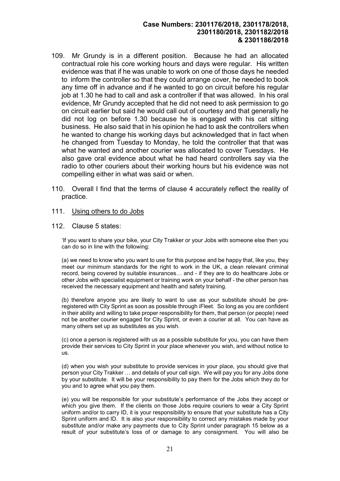- 109. Mr Grundy is in a different position. Because he had an allocated contractual role his core working hours and days were regular. His written evidence was that if he was unable to work on one of those days he needed to inform the controller so that they could arrange cover, he needed to book any time off in advance and if he wanted to go on circuit before his regular job at 1.30 he had to call and ask a controller if that was allowed. In his oral evidence, Mr Grundy accepted that he did not need to ask permission to go on circuit earlier but said he would call out of courtesy and that generally he did not log on before 1.30 because he is engaged with his cat sitting business. He also said that in his opinion he had to ask the controllers when he wanted to change his working days but acknowledged that in fact when he changed from Tuesday to Monday, he told the controller that that was what he wanted and another courier was allocated to cover Tuesdays. He also gave oral evidence about what he had heard controllers say via the radio to other couriers about their working hours but his evidence was not compelling either in what was said or when.
- 110. Overall I find that the terms of clause 4 accurately reflect the reality of practice.

#### 111. Using others to do Jobs

112. Clause 5 states:

'If you want to share your bike, your City Trakker or your Jobs with someone else then you can do so in line with the following:

(a) we need to know who you want to use for this purpose and be happy that, like you, they meet our minimum standards for the right to work in the UK, a clean relevant criminal record, being covered by suitable insurances… and - if they are to do healthcare Jobs or other Jobs with specialist equipment or training work on your behalf - the other person has received the necessary equipment and health and safety training.

(b) therefore anyone you are likely to want to use as your substitute should be preregistered with City Sprint as soon as possible through iFleet. So long as you are confident in their ability and willing to take proper responsibility for them, that person (or people) need not be another courier engaged for City Sprint, or even a courier at all. You can have as many others set up as substitutes as you wish.

(c) once a person is registered with us as a possible substitute for you, you can have them provide their services to City Sprint in your place whenever you wish, and without notice to us.

(d) when you wish your substitute to provide services in your place, you should give that person your City Trakker … and details of your call sign. We will pay you for any Jobs done by your substitute. It will be your responsibility to pay them for the Jobs which they do for you and to agree what you pay them.

(e) you will be responsible for your substitute's performance of the Jobs they accept or which you give them. If the clients on those Jobs require couriers to wear a City Sprint uniform and/or to carry ID, it is your responsibility to ensure that your substitute has a City Sprint uniform and ID. It is also your responsibility to correct any mistakes made by your substitute and/or make any payments due to City Sprint under paragraph 15 below as a result of your substitute's loss of or damage to any consignment. You will also be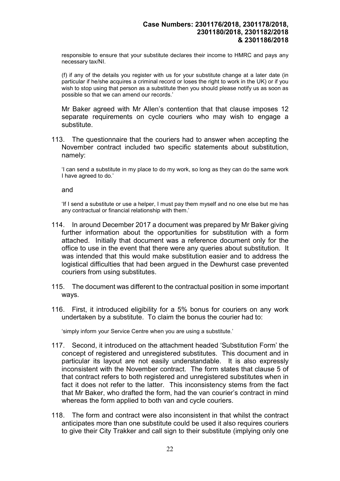responsible to ensure that your substitute declares their income to HMRC and pays any necessary tax/NI.

(f) if any of the details you register with us for your substitute change at a later date (in particular if he/she acquires a criminal record or loses the right to work in the UK) or if you wish to stop using that person as a substitute then you should please notify us as soon as possible so that we can amend our records.'

Mr Baker agreed with Mr Allen's contention that that clause imposes 12 separate requirements on cycle couriers who may wish to engage a substitute.

113. The questionnaire that the couriers had to answer when accepting the November contract included two specific statements about substitution, namely:

'I can send a substitute in my place to do my work, so long as they can do the same work I have agreed to do.'

and

'If I send a substitute or use a helper, I must pay them myself and no one else but me has any contractual or financial relationship with them.'

- 114. In around December 2017 a document was prepared by Mr Baker giving further information about the opportunities for substitution with a form attached. Initially that document was a reference document only for the office to use in the event that there were any queries about substitution. It was intended that this would make substitution easier and to address the logistical difficulties that had been argued in the Dewhurst case prevented couriers from using substitutes.
- 115. The document was different to the contractual position in some important ways.
- 116. First, it introduced eligibility for a 5% bonus for couriers on any work undertaken by a substitute. To claim the bonus the courier had to:

'simply inform your Service Centre when you are using a substitute.'

- 117. Second, it introduced on the attachment headed 'Substitution Form' the concept of registered and unregistered substitutes. This document and in particular its layout are not easily understandable. It is also expressly inconsistent with the November contract. The form states that clause 5 of that contract refers to both registered and unregistered substitutes when in fact it does not refer to the latter. This inconsistency stems from the fact that Mr Baker, who drafted the form, had the van courier's contract in mind whereas the form applied to both van and cycle couriers.
- 118. The form and contract were also inconsistent in that whilst the contract anticipates more than one substitute could be used it also requires couriers to give their City Trakker and call sign to their substitute (implying only one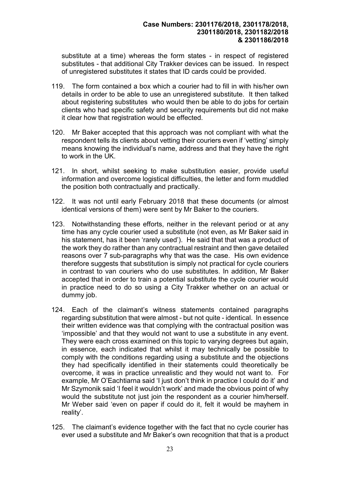substitute at a time) whereas the form states - in respect of registered substitutes - that additional City Trakker devices can be issued. In respect of unregistered substitutes it states that ID cards could be provided.

- 119. The form contained a box which a courier had to fill in with his/her own details in order to be able to use an unregistered substitute. It then talked about registering substitutes who would then be able to do jobs for certain clients who had specific safety and security requirements but did not make it clear how that registration would be effected.
- 120. Mr Baker accepted that this approach was not compliant with what the respondent tells its clients about vetting their couriers even if 'vetting' simply means knowing the individual's name, address and that they have the right to work in the UK.
- 121. In short, whilst seeking to make substitution easier, provide useful information and overcome logistical difficulties, the letter and form muddled the position both contractually and practically.
- 122. It was not until early February 2018 that these documents (or almost identical versions of them) were sent by Mr Baker to the couriers.
- 123. Notwithstanding these efforts, neither in the relevant period or at any time has any cycle courier used a substitute (not even, as Mr Baker said in his statement, has it been 'rarely used'). He said that that was a product of the work they do rather than any contractual restraint and then gave detailed reasons over 7 sub-paragraphs why that was the case. His own evidence therefore suggests that substitution is simply not practical for cycle couriers in contrast to van couriers who do use substitutes. In addition, Mr Baker accepted that in order to train a potential substitute the cycle courier would in practice need to do so using a City Trakker whether on an actual or dummy job.
- 124. Each of the claimant's witness statements contained paragraphs regarding substitution that were almost - but not quite - identical. In essence their written evidence was that complying with the contractual position was 'impossible' and that they would not want to use a substitute in any event. They were each cross examined on this topic to varying degrees but again, in essence, each indicated that whilst it may technically be possible to comply with the conditions regarding using a substitute and the objections they had specifically identified in their statements could theoretically be overcome, it was in practice unrealistic and they would not want to. For example, Mr O'Eachtiarna said 'I just don't think in practice I could do it' and Mr Szymonik said 'I feel it wouldn't work' and made the obvious point of why would the substitute not just join the respondent as a courier him/herself. Mr Weber said 'even on paper if could do it, felt it would be mayhem in reality'.
- 125. The claimant's evidence together with the fact that no cycle courier has ever used a substitute and Mr Baker's own recognition that that is a product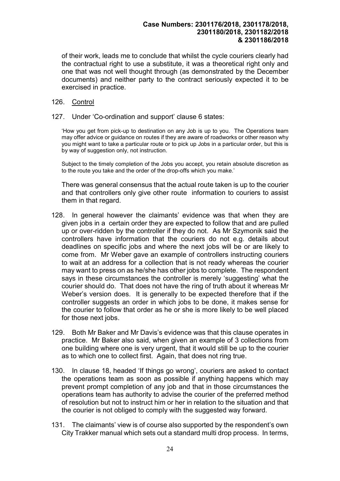of their work, leads me to conclude that whilst the cycle couriers clearly had the contractual right to use a substitute, it was a theoretical right only and one that was not well thought through (as demonstrated by the December documents) and neither party to the contract seriously expected it to be exercised in practice.

#### 126. Control

#### 127. Under 'Co-ordination and support' clause 6 states:

'How you get from pick-up to destination on any Job is up to you. The Operations team may offer advice or guidance on routes if they are aware of roadworks or other reason why you might want to take a particular route or to pick up Jobs in a particular order, but this is by way of suggestion only, not instruction.

Subject to the timely completion of the Jobs you accept, you retain absolute discretion as to the route you take and the order of the drop-offs which you make.'

There was general consensus that the actual route taken is up to the courier and that controllers only give other route information to couriers to assist them in that regard.

- 128. In general however the claimants' evidence was that when they are given jobs in a certain order they are expected to follow that and are pulled up or over-ridden by the controller if they do not. As Mr Szymonik said the controllers have information that the couriers do not e.g. details about deadlines on specific jobs and where the next jobs will be or are likely to come from. Mr Weber gave an example of controllers instructing couriers to wait at an address for a collection that is not ready whereas the courier may want to press on as he/she has other jobs to complete. The respondent says in these circumstances the controller is merely 'suggesting' what the courier should do. That does not have the ring of truth about it whereas Mr Weber's version does. It is generally to be expected therefore that if the controller suggests an order in which jobs to be done, it makes sense for the courier to follow that order as he or she is more likely to be well placed for those next jobs.
- 129. Both Mr Baker and Mr Davis's evidence was that this clause operates in practice. Mr Baker also said, when given an example of 3 collections from one building where one is very urgent, that it would still be up to the courier as to which one to collect first. Again, that does not ring true.
- 130. In clause 18, headed 'If things go wrong', couriers are asked to contact the operations team as soon as possible if anything happens which may prevent prompt completion of any job and that in those circumstances the operations team has authority to advise the courier of the preferred method of resolution but not to instruct him or her in relation to the situation and that the courier is not obliged to comply with the suggested way forward.
- 131. The claimants' view is of course also supported by the respondent's own City Trakker manual which sets out a standard multi drop process. In terms,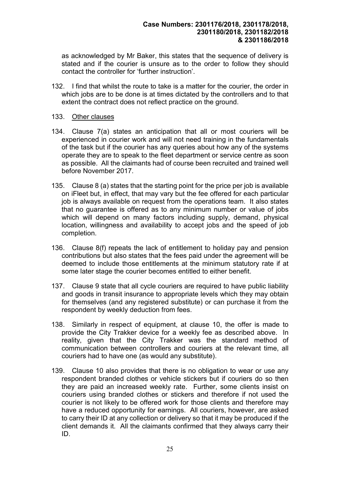as acknowledged by Mr Baker, this states that the sequence of delivery is stated and if the courier is unsure as to the order to follow they should contact the controller for 'further instruction'.

132. I find that whilst the route to take is a matter for the courier, the order in which jobs are to be done is at times dictated by the controllers and to that extent the contract does not reflect practice on the ground.

#### 133. Other clauses

- 134. Clause 7(a) states an anticipation that all or most couriers will be experienced in courier work and will not need training in the fundamentals of the task but if the courier has any queries about how any of the systems operate they are to speak to the fleet department or service centre as soon as possible. All the claimants had of course been recruited and trained well before November 2017.
- 135. Clause 8 (a) states that the starting point for the price per job is available on iFleet but, in effect, that may vary but the fee offered for each particular job is always available on request from the operations team. It also states that no guarantee is offered as to any minimum number or value of jobs which will depend on many factors including supply, demand, physical location, willingness and availability to accept jobs and the speed of job completion.
- 136. Clause 8(f) repeats the lack of entitlement to holiday pay and pension contributions but also states that the fees paid under the agreement will be deemed to include those entitlements at the minimum statutory rate if at some later stage the courier becomes entitled to either benefit.
- 137. Clause 9 state that all cycle couriers are required to have public liability and goods in transit insurance to appropriate levels which they may obtain for themselves (and any registered substitute) or can purchase it from the respondent by weekly deduction from fees.
- 138. Similarly in respect of equipment, at clause 10, the offer is made to provide the City Trakker device for a weekly fee as described above. In reality, given that the City Trakker was the standard method of communication between controllers and couriers at the relevant time, all couriers had to have one (as would any substitute).
- 139. Clause 10 also provides that there is no obligation to wear or use any respondent branded clothes or vehicle stickers but if couriers do so then they are paid an increased weekly rate. Further, some clients insist on couriers using branded clothes or stickers and therefore if not used the courier is not likely to be offered work for those clients and therefore may have a reduced opportunity for earnings. All couriers, however, are asked to carry their ID at any collection or delivery so that it may be produced if the client demands it. All the claimants confirmed that they always carry their ID.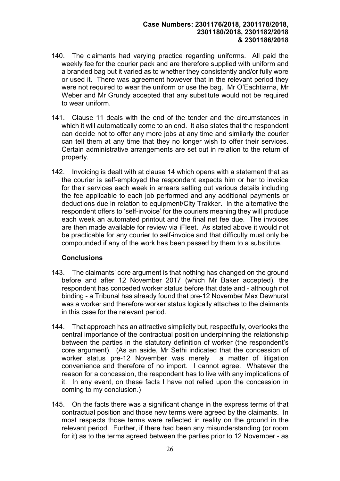- 140. The claimants had varying practice regarding uniforms. All paid the weekly fee for the courier pack and are therefore supplied with uniform and a branded bag but it varied as to whether they consistently and/or fully wore or used it. There was agreement however that in the relevant period they were not required to wear the uniform or use the bag. Mr O'Eachtiarna, Mr Weber and Mr Grundy accepted that any substitute would not be required to wear uniform.
- 141. Clause 11 deals with the end of the tender and the circumstances in which it will automatically come to an end. It also states that the respondent can decide not to offer any more jobs at any time and similarly the courier can tell them at any time that they no longer wish to offer their services. Certain administrative arrangements are set out in relation to the return of property.
- 142. Invoicing is dealt with at clause 14 which opens with a statement that as the courier is self-employed the respondent expects him or her to invoice for their services each week in arrears setting out various details including the fee applicable to each job performed and any additional payments or deductions due in relation to equipment/City Trakker. In the alternative the respondent offers to 'self-invoice' for the couriers meaning they will produce each week an automated printout and the final net fee due. The invoices are then made available for review via iFleet. As stated above it would not be practicable for any courier to self-invoice and that difficulty must only be compounded if any of the work has been passed by them to a substitute.

### **Conclusions**

- 143. The claimants' core argument is that nothing has changed on the ground before and after 12 November 2017 (which Mr Baker accepted), the respondent has conceded worker status before that date and - although not binding - a Tribunal has already found that pre-12 November Max Dewhurst was a worker and therefore worker status logically attaches to the claimants in this case for the relevant period.
- 144. That approach has an attractive simplicity but, respectfully, overlooks the central importance of the contractual position underpinning the relationship between the parties in the statutory definition of worker (the respondent's core argument). (As an aside, Mr Sethi indicated that the concession of worker status pre-12 November was merely a matter of litigation convenience and therefore of no import. I cannot agree. Whatever the reason for a concession, the respondent has to live with any implications of it. In any event, on these facts I have not relied upon the concession in coming to my conclusion.)
- 145. On the facts there was a significant change in the express terms of that contractual position and those new terms were agreed by the claimants. In most respects those terms were reflected in reality on the ground in the relevant period. Further, if there had been any misunderstanding (or room for it) as to the terms agreed between the parties prior to 12 November - as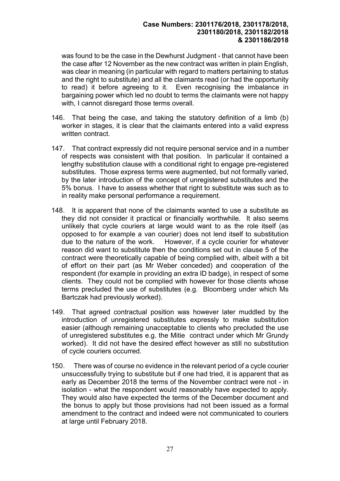was found to be the case in the Dewhurst Judgment - that cannot have been the case after 12 November as the new contract was written in plain English, was clear in meaning (in particular with regard to matters pertaining to status and the right to substitute) and all the claimants read (or had the opportunity to read) it before agreeing to it. Even recognising the imbalance in bargaining power which led no doubt to terms the claimants were not happy with. I cannot disregard those terms overall.

- 146. That being the case, and taking the statutory definition of a limb (b) worker in stages, it is clear that the claimants entered into a valid express written contract.
- 147. That contract expressly did not require personal service and in a number of respects was consistent with that position. In particular it contained a lengthy substitution clause with a conditional right to engage pre-registered substitutes. Those express terms were augmented, but not formally varied, by the later introduction of the concept of unregistered substitutes and the 5% bonus. I have to assess whether that right to substitute was such as to in reality make personal performance a requirement.
- 148. It is apparent that none of the claimants wanted to use a substitute as they did not consider it practical or financially worthwhile. It also seems unlikely that cycle couriers at large would want to as the role itself (as opposed to for example a van courier) does not lend itself to substitution due to the nature of the work. However, if a cycle courier for whatever reason did want to substitute then the conditions set out in clause 5 of the contract were theoretically capable of being complied with, albeit with a bit of effort on their part (as Mr Weber conceded) and cooperation of the respondent (for example in providing an extra ID badge), in respect of some clients. They could not be complied with however for those clients whose terms precluded the use of substitutes (e.g. Bloomberg under which Ms Bartczak had previously worked).
- 149. That agreed contractual position was however later muddled by the introduction of unregistered substitutes expressly to make substitution easier (although remaining unacceptable to clients who precluded the use of unregistered substitutes e.g. the Mitie contract under which Mr Grundy worked). It did not have the desired effect however as still no substitution of cycle couriers occurred.
- 150. There was of course no evidence in the relevant period of a cycle courier unsuccessfully trying to substitute but if one had tried, it is apparent that as early as December 2018 the terms of the November contract were not - in isolation - what the respondent would reasonably have expected to apply. They would also have expected the terms of the December document and the bonus to apply but those provisions had not been issued as a formal amendment to the contract and indeed were not communicated to couriers at large until February 2018.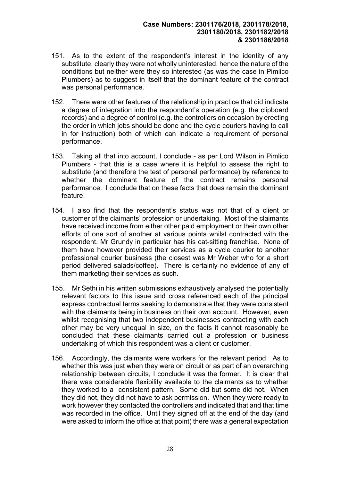- 151. As to the extent of the respondent's interest in the identity of any substitute, clearly they were not wholly uninterested, hence the nature of the conditions but neither were they so interested (as was the case in Pimlico Plumbers) as to suggest in itself that the dominant feature of the contract was personal performance.
- 152. There were other features of the relationship in practice that did indicate a degree of integration into the respondent's operation (e.g. the clipboard records) and a degree of control (e.g. the controllers on occasion by erecting the order in which jobs should be done and the cycle couriers having to call in for instruction) both of which can indicate a requirement of personal performance.
- 153. Taking all that into account, I conclude as per Lord Wilson in Pimlico Plumbers - that this is a case where it is helpful to assess the right to substitute (and therefore the test of personal performance) by reference to whether the dominant feature of the contract remains personal performance. I conclude that on these facts that does remain the dominant feature.
- 154. I also find that the respondent's status was not that of a client or customer of the claimants' profession or undertaking. Most of the claimants have received income from either other paid employment or their own other efforts of one sort of another at various points whilst contracted with the respondent. Mr Grundy in particular has his cat-sitting franchise. None of them have however provided their services as a cycle courier to another professional courier business (the closest was Mr Weber who for a short period delivered salads/coffee). There is certainly no evidence of any of them marketing their services as such.
- 155. Mr Sethi in his written submissions exhaustively analysed the potentially relevant factors to this issue and cross referenced each of the principal express contractual terms seeking to demonstrate that they were consistent with the claimants being in business on their own account. However, even whilst recognising that two independent businesses contracting with each other may be very unequal in size, on the facts it cannot reasonably be concluded that these claimants carried out a profession or business undertaking of which this respondent was a client or customer.
- 156. Accordingly, the claimants were workers for the relevant period. As to whether this was just when they were on circuit or as part of an overarching relationship between circuits, I conclude it was the former. It is clear that there was considerable flexibility available to the claimants as to whether they worked to a consistent pattern. Some did but some did not. When they did not, they did not have to ask permission. When they were ready to work however they contacted the controllers and indicated that and that time was recorded in the office. Until they signed off at the end of the day (and were asked to inform the office at that point) there was a general expectation